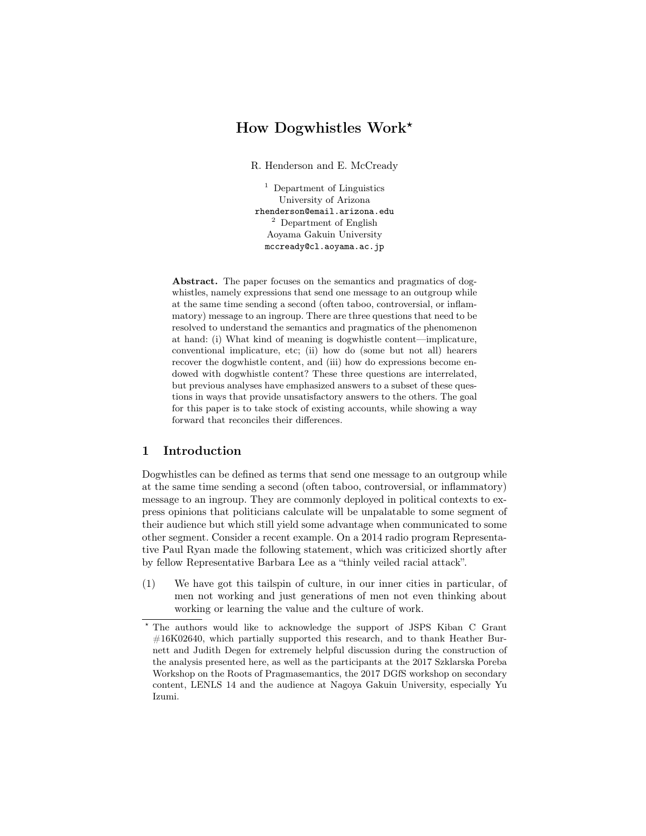# How Dogwhistles Work?

R. Henderson and E. McCready

<sup>1</sup> Department of Linguistics University of Arizona rhenderson@email.arizona.edu <sup>2</sup> Department of English Aoyama Gakuin University mccready@cl.aoyama.ac.jp

Abstract. The paper focuses on the semantics and pragmatics of dogwhistles, namely expressions that send one message to an outgroup while at the same time sending a second (often taboo, controversial, or inflammatory) message to an ingroup. There are three questions that need to be resolved to understand the semantics and pragmatics of the phenomenon at hand: (i) What kind of meaning is dogwhistle content—implicature, conventional implicature, etc; (ii) how do (some but not all) hearers recover the dogwhistle content, and (iii) how do expressions become endowed with dogwhistle content? These three questions are interrelated, but previous analyses have emphasized answers to a subset of these questions in ways that provide unsatisfactory answers to the others. The goal for this paper is to take stock of existing accounts, while showing a way forward that reconciles their differences.

## 1 Introduction

Dogwhistles can be defined as terms that send one message to an outgroup while at the same time sending a second (often taboo, controversial, or inflammatory) message to an ingroup. They are commonly deployed in political contexts to express opinions that politicians calculate will be unpalatable to some segment of their audience but which still yield some advantage when communicated to some other segment. Consider a recent example. On a 2014 radio program Representative Paul Ryan made the following statement, which was criticized shortly after by fellow Representative Barbara Lee as a "thinly veiled racial attack".

(1) We have got this tailspin of culture, in our inner cities in particular, of men not working and just generations of men not even thinking about working or learning the value and the culture of work.

<sup>?</sup> The authors would like to acknowledge the support of JSPS Kiban C Grant  $\#16K02640$ , which partially supported this research, and to thank Heather Burnett and Judith Degen for extremely helpful discussion during the construction of the analysis presented here, as well as the participants at the 2017 Szklarska Poreba Workshop on the Roots of Pragmasemantics, the 2017 DGfS workshop on secondary content, LENLS 14 and the audience at Nagoya Gakuin University, especially Yu Izumi.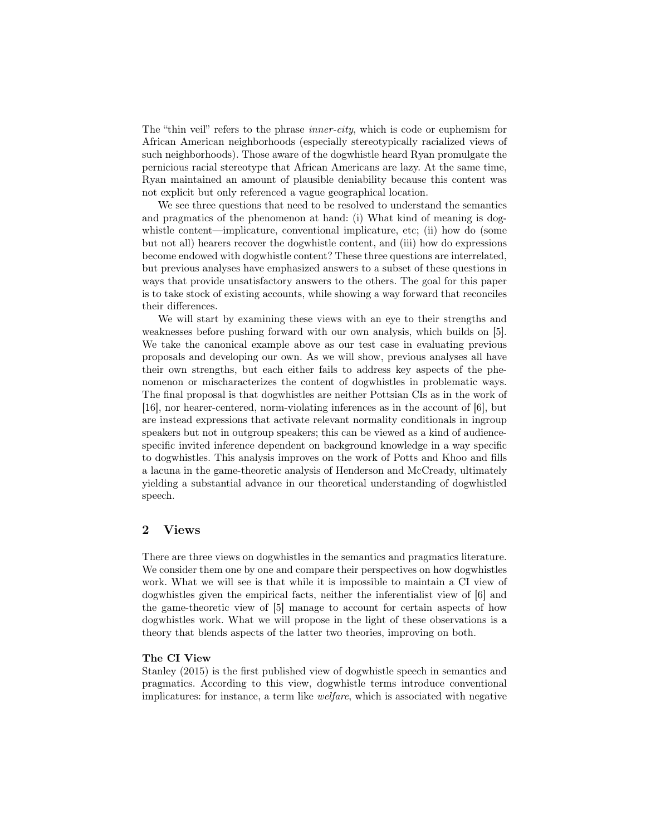The "thin veil" refers to the phrase *inner-city*, which is code or euphemism for African American neighborhoods (especially stereotypically racialized views of such neighborhoods). Those aware of the dogwhistle heard Ryan promulgate the pernicious racial stereotype that African Americans are lazy. At the same time, Ryan maintained an amount of plausible deniability because this content was not explicit but only referenced a vague geographical location.

We see three questions that need to be resolved to understand the semantics and pragmatics of the phenomenon at hand: (i) What kind of meaning is dogwhistle content—implicature, conventional implicature, etc; (ii) how do (some but not all) hearers recover the dogwhistle content, and (iii) how do expressions become endowed with dogwhistle content? These three questions are interrelated, but previous analyses have emphasized answers to a subset of these questions in ways that provide unsatisfactory answers to the others. The goal for this paper is to take stock of existing accounts, while showing a way forward that reconciles their differences.

We will start by examining these views with an eye to their strengths and weaknesses before pushing forward with our own analysis, which builds on [5]. We take the canonical example above as our test case in evaluating previous proposals and developing our own. As we will show, previous analyses all have their own strengths, but each either fails to address key aspects of the phenomenon or mischaracterizes the content of dogwhistles in problematic ways. The final proposal is that dogwhistles are neither Pottsian CIs as in the work of [16], nor hearer-centered, norm-violating inferences as in the account of [6], but are instead expressions that activate relevant normality conditionals in ingroup speakers but not in outgroup speakers; this can be viewed as a kind of audiencespecific invited inference dependent on background knowledge in a way specific to dogwhistles. This analysis improves on the work of Potts and Khoo and fills a lacuna in the game-theoretic analysis of Henderson and McCready, ultimately yielding a substantial advance in our theoretical understanding of dogwhistled speech.

### 2 Views

There are three views on dogwhistles in the semantics and pragmatics literature. We consider them one by one and compare their perspectives on how dogwhistles work. What we will see is that while it is impossible to maintain a CI view of dogwhistles given the empirical facts, neither the inferentialist view of [6] and the game-theoretic view of [5] manage to account for certain aspects of how dogwhistles work. What we will propose in the light of these observations is a theory that blends aspects of the latter two theories, improving on both.

### The CI View

Stanley (2015) is the first published view of dogwhistle speech in semantics and pragmatics. According to this view, dogwhistle terms introduce conventional implicatures: for instance, a term like welfare, which is associated with negative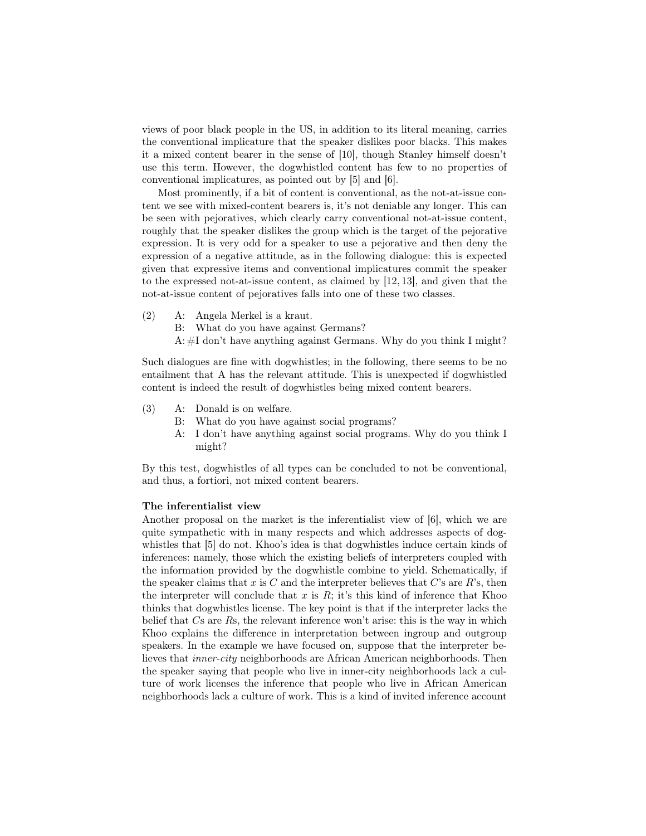views of poor black people in the US, in addition to its literal meaning, carries the conventional implicature that the speaker dislikes poor blacks. This makes it a mixed content bearer in the sense of [10], though Stanley himself doesn't use this term. However, the dogwhistled content has few to no properties of conventional implicatures, as pointed out by [5] and [6].

Most prominently, if a bit of content is conventional, as the not-at-issue content we see with mixed-content bearers is, it's not deniable any longer. This can be seen with pejoratives, which clearly carry conventional not-at-issue content, roughly that the speaker dislikes the group which is the target of the pejorative expression. It is very odd for a speaker to use a pejorative and then deny the expression of a negative attitude, as in the following dialogue: this is expected given that expressive items and conventional implicatures commit the speaker to the expressed not-at-issue content, as claimed by [12, 13], and given that the not-at-issue content of pejoratives falls into one of these two classes.

(2) A: Angela Merkel is a kraut. B: What do you have against Germans? A: #I don't have anything against Germans. Why do you think I might?

Such dialogues are fine with dogwhistles; in the following, there seems to be no entailment that A has the relevant attitude. This is unexpected if dogwhistled content is indeed the result of dogwhistles being mixed content bearers.

- (3) A: Donald is on welfare.
	- B: What do you have against social programs?
	- A: I don't have anything against social programs. Why do you think I might?

By this test, dogwhistles of all types can be concluded to not be conventional, and thus, a fortiori, not mixed content bearers.

#### The inferentialist view

Another proposal on the market is the inferentialist view of [6], which we are quite sympathetic with in many respects and which addresses aspects of dogwhistles that [5] do not. Khoo's idea is that dogwhistles induce certain kinds of inferences: namely, those which the existing beliefs of interpreters coupled with the information provided by the dogwhistle combine to yield. Schematically, if the speaker claims that x is C and the interpreter believes that  $C$ 's are R's, then the interpreter will conclude that x is  $R$ ; it's this kind of inference that Khoo thinks that dogwhistles license. The key point is that if the interpreter lacks the belief that  $Cs$  are  $Rs$ , the relevant inference won't arise: this is the way in which Khoo explains the difference in interpretation between ingroup and outgroup speakers. In the example we have focused on, suppose that the interpreter believes that inner-city neighborhoods are African American neighborhoods. Then the speaker saying that people who live in inner-city neighborhoods lack a culture of work licenses the inference that people who live in African American neighborhoods lack a culture of work. This is a kind of invited inference account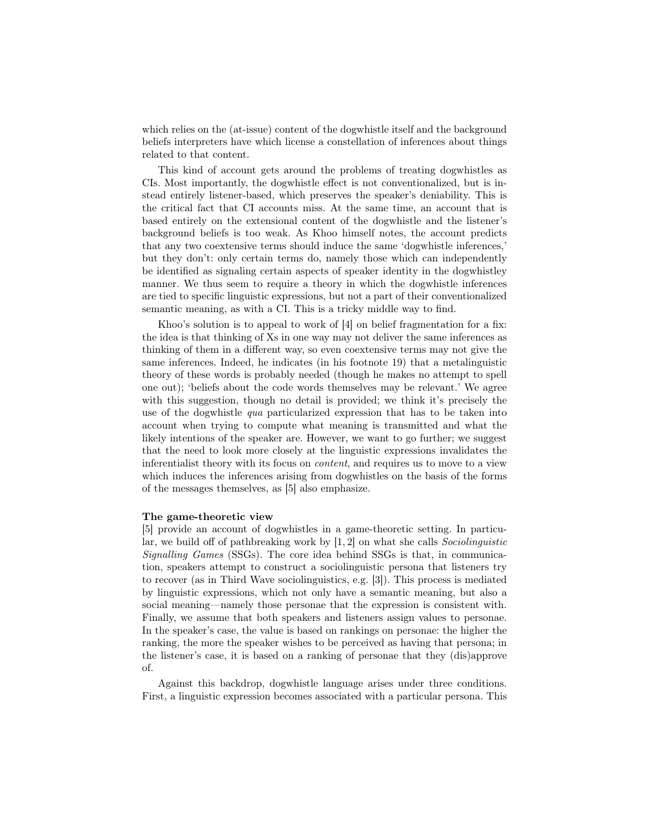which relies on the (at-issue) content of the dogwhistle itself and the background beliefs interpreters have which license a constellation of inferences about things related to that content.

This kind of account gets around the problems of treating dogwhistles as CIs. Most importantly, the dogwhistle effect is not conventionalized, but is instead entirely listener-based, which preserves the speaker's deniability. This is the critical fact that CI accounts miss. At the same time, an account that is based entirely on the extensional content of the dogwhistle and the listener's background beliefs is too weak. As Khoo himself notes, the account predicts that any two coextensive terms should induce the same 'dogwhistle inferences,' but they don't: only certain terms do, namely those which can independently be identified as signaling certain aspects of speaker identity in the dogwhistley manner. We thus seem to require a theory in which the dogwhistle inferences are tied to specific linguistic expressions, but not a part of their conventionalized semantic meaning, as with a CI. This is a tricky middle way to find.

Khoo's solution is to appeal to work of [4] on belief fragmentation for a fix: the idea is that thinking of Xs in one way may not deliver the same inferences as thinking of them in a different way, so even coextensive terms may not give the same inferences. Indeed, he indicates (in his footnote 19) that a metalinguistic theory of these words is probably needed (though he makes no attempt to spell one out); 'beliefs about the code words themselves may be relevant.' We agree with this suggestion, though no detail is provided; we think it's precisely the use of the dogwhistle qua particularized expression that has to be taken into account when trying to compute what meaning is transmitted and what the likely intentions of the speaker are. However, we want to go further; we suggest that the need to look more closely at the linguistic expressions invalidates the inferentialist theory with its focus on content, and requires us to move to a view which induces the inferences arising from dogwhistles on the basis of the forms of the messages themselves, as [5] also emphasize.

### The game-theoretic view

[5] provide an account of dogwhistles in a game-theoretic setting. In particular, we build off of pathbreaking work by [1, 2] on what she calls Sociolinguistic Signalling Games (SSGs). The core idea behind SSGs is that, in communication, speakers attempt to construct a sociolinguistic persona that listeners try to recover (as in Third Wave sociolinguistics, e.g. [3]). This process is mediated by linguistic expressions, which not only have a semantic meaning, but also a social meaning—namely those personae that the expression is consistent with. Finally, we assume that both speakers and listeners assign values to personae. In the speaker's case, the value is based on rankings on personae: the higher the ranking, the more the speaker wishes to be perceived as having that persona; in the listener's case, it is based on a ranking of personae that they (dis)approve of.

Against this backdrop, dogwhistle language arises under three conditions. First, a linguistic expression becomes associated with a particular persona. This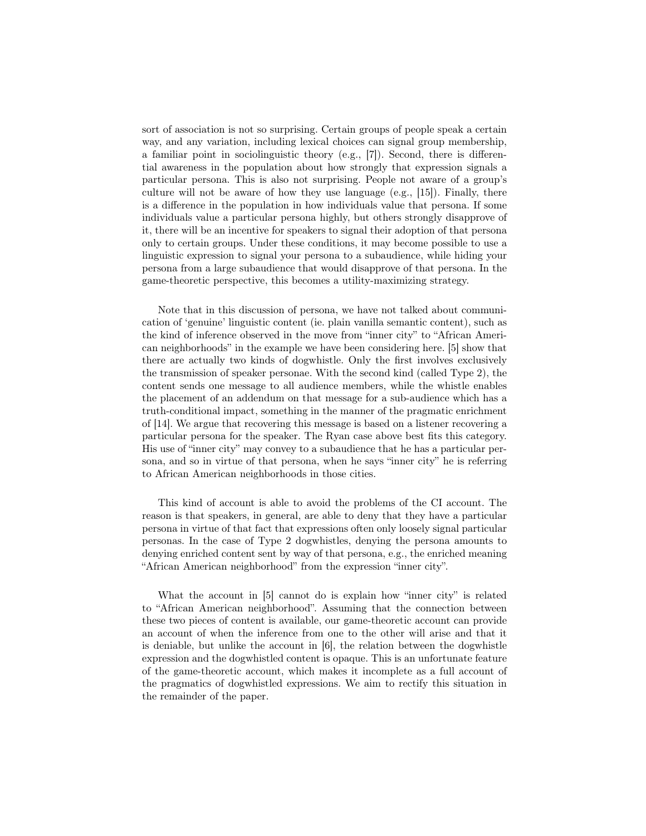sort of association is not so surprising. Certain groups of people speak a certain way, and any variation, including lexical choices can signal group membership, a familiar point in sociolinguistic theory  $(e.g., [7])$ . Second, there is differential awareness in the population about how strongly that expression signals a particular persona. This is also not surprising. People not aware of a group's culture will not be aware of how they use language (e.g., [15]). Finally, there is a difference in the population in how individuals value that persona. If some individuals value a particular persona highly, but others strongly disapprove of it, there will be an incentive for speakers to signal their adoption of that persona only to certain groups. Under these conditions, it may become possible to use a linguistic expression to signal your persona to a subaudience, while hiding your persona from a large subaudience that would disapprove of that persona. In the game-theoretic perspective, this becomes a utility-maximizing strategy.

Note that in this discussion of persona, we have not talked about communication of 'genuine' linguistic content (ie. plain vanilla semantic content), such as the kind of inference observed in the move from "inner city" to "African American neighborhoods" in the example we have been considering here. [5] show that there are actually two kinds of dogwhistle. Only the first involves exclusively the transmission of speaker personae. With the second kind (called Type 2), the content sends one message to all audience members, while the whistle enables the placement of an addendum on that message for a sub-audience which has a truth-conditional impact, something in the manner of the pragmatic enrichment of [14]. We argue that recovering this message is based on a listener recovering a particular persona for the speaker. The Ryan case above best fits this category. His use of "inner city" may convey to a subaudience that he has a particular persona, and so in virtue of that persona, when he says "inner city" he is referring to African American neighborhoods in those cities.

This kind of account is able to avoid the problems of the CI account. The reason is that speakers, in general, are able to deny that they have a particular persona in virtue of that fact that expressions often only loosely signal particular personas. In the case of Type 2 dogwhistles, denying the persona amounts to denying enriched content sent by way of that persona, e.g., the enriched meaning "African American neighborhood" from the expression "inner city".

What the account in [5] cannot do is explain how "inner city" is related to "African American neighborhood". Assuming that the connection between these two pieces of content is available, our game-theoretic account can provide an account of when the inference from one to the other will arise and that it is deniable, but unlike the account in  $[6]$ , the relation between the dogwhistle expression and the dogwhistled content is opaque. This is an unfortunate feature of the game-theoretic account, which makes it incomplete as a full account of the pragmatics of dogwhistled expressions. We aim to rectify this situation in the remainder of the paper.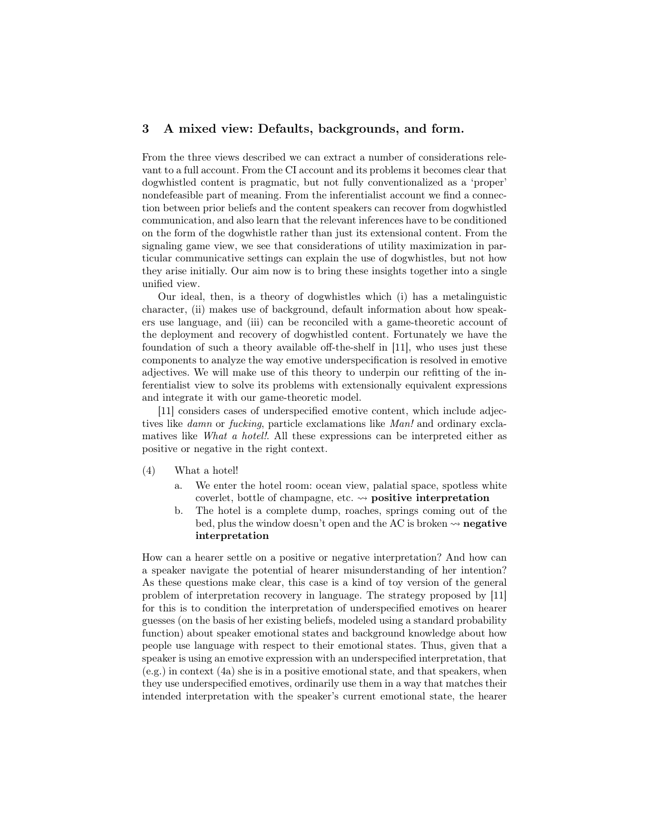## 3 A mixed view: Defaults, backgrounds, and form.

From the three views described we can extract a number of considerations relevant to a full account. From the CI account and its problems it becomes clear that dogwhistled content is pragmatic, but not fully conventionalized as a 'proper' nondefeasible part of meaning. From the inferentialist account we find a connection between prior beliefs and the content speakers can recover from dogwhistled communication, and also learn that the relevant inferences have to be conditioned on the form of the dogwhistle rather than just its extensional content. From the signaling game view, we see that considerations of utility maximization in particular communicative settings can explain the use of dogwhistles, but not how they arise initially. Our aim now is to bring these insights together into a single unified view.

Our ideal, then, is a theory of dogwhistles which (i) has a metalinguistic character, (ii) makes use of background, default information about how speakers use language, and (iii) can be reconciled with a game-theoretic account of the deployment and recovery of dogwhistled content. Fortunately we have the foundation of such a theory available off-the-shelf in [11], who uses just these components to analyze the way emotive underspecification is resolved in emotive adjectives. We will make use of this theory to underpin our refitting of the inferentialist view to solve its problems with extensionally equivalent expressions and integrate it with our game-theoretic model.

[11] considers cases of underspecified emotive content, which include adjectives like damn or fucking, particle exclamations like Man! and ordinary exclamatives like What a hotel!. All these expressions can be interpreted either as positive or negative in the right context.

- (4) What a hotel!
	- a. We enter the hotel room: ocean view, palatial space, spotless white coverlet, bottle of champagne, etc.  $\rightarrow$  **positive interpretation**
	- b. The hotel is a complete dump, roaches, springs coming out of the bed, plus the window doesn't open and the AC is broken  $\sim$  **negative** interpretation

How can a hearer settle on a positive or negative interpretation? And how can a speaker navigate the potential of hearer misunderstanding of her intention? As these questions make clear, this case is a kind of toy version of the general problem of interpretation recovery in language. The strategy proposed by [11] for this is to condition the interpretation of underspecified emotives on hearer guesses (on the basis of her existing beliefs, modeled using a standard probability function) about speaker emotional states and background knowledge about how people use language with respect to their emotional states. Thus, given that a speaker is using an emotive expression with an underspecified interpretation, that (e.g.) in context (4a) she is in a positive emotional state, and that speakers, when they use underspecified emotives, ordinarily use them in a way that matches their intended interpretation with the speaker's current emotional state, the hearer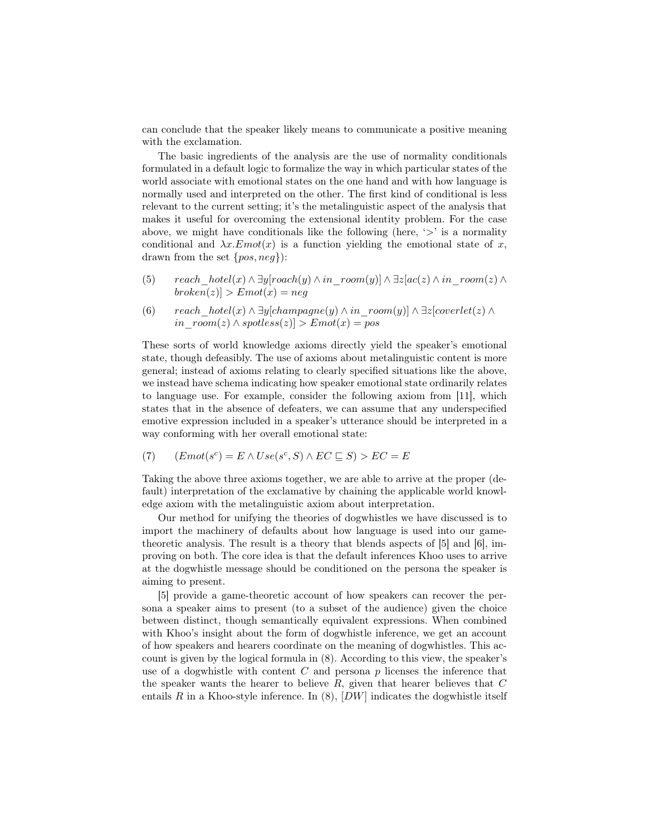can conclude that the speaker likely means to communicate a positive meaning with the exclamation.

The basic ingredients of the analysis are the use of normality conditionals formulated in a default logic to formalize the way in which particular states of the world associate with emotional states on the one hand and with how language is normally used and interpreted on the other. The first kind of conditional is less relevant to the current setting; it's the metalinguistic aspect of the analysis that makes it useful for overcoming the extensional identity problem. For the case above, we might have conditionals like the following (here,  $\langle \rangle$  is a normality conditional and  $\lambda x. Emot(x)$  is a function yielding the emotional state of x, drawn from the set  $\{pos, neg\}$ :

- (5) reach\_hotel(x)  $\land \exists y[roach(y) \land in\_room(y)] \land \exists z[ac(z) \land in\_room(z) \land$  $broken(z)$  >  $Emot(x)$  = neg
- (6) reach\_hotel(x)  $\land \exists y[champagne(y) \land in\_room(y)] \land \exists z[coverlet(z) \land ...]$ in  $room(z) \wedge spotless(z)] > Emot(x) = pos$

These sorts of world knowledge axioms directly yield the speaker's emotional state, though defeasibly. The use of axioms about metalinguistic content is more general; instead of axioms relating to clearly specified situations like the above, we instead have schema indicating how speaker emotional state ordinarily relates to language use. For example, consider the following axiom from [11], which states that in the absence of defeaters, we can assume that any underspecified emotive expression included in a speaker's utterance should be interpreted in a way conforming with her overall emotional state:

(7) 
$$
(Emot(s^c) = E \land Use(s^c, S) \land EC \subseteq S) > EC = E
$$

Taking the above three axioms together, we are able to arrive at the proper (default) interpretation of the exclamative by chaining the applicable world knowledge axiom with the metalinguistic axiom about interpretation.

Our method for unifying the theories of dogwhistles we have discussed is to import the machinery of defaults about how language is used into our gametheoretic analysis. The result is a theory that blends aspects of [5] and [6], improving on both. The core idea is that the default inferences Khoo uses to arrive at the dogwhistle message should be conditioned on the persona the speaker is aiming to present.

[5] provide a game-theoretic account of how speakers can recover the persona a speaker aims to present (to a subset of the audience) given the choice between distinct, though semantically equivalent expressions. When combined with Khoo's insight about the form of dogwhistle inference, we get an account of how speakers and hearers coordinate on the meaning of dogwhistles. This account is given by the logical formula in (8). According to this view, the speaker's use of a dogwhistle with content  $C$  and persona  $p$  licenses the inference that the speaker wants the hearer to believe  $R$ , given that hearer believes that  $C$ entails R in a Khoo-style inference. In  $(8)$ ,  $[DW]$  indicates the dogwhistle itself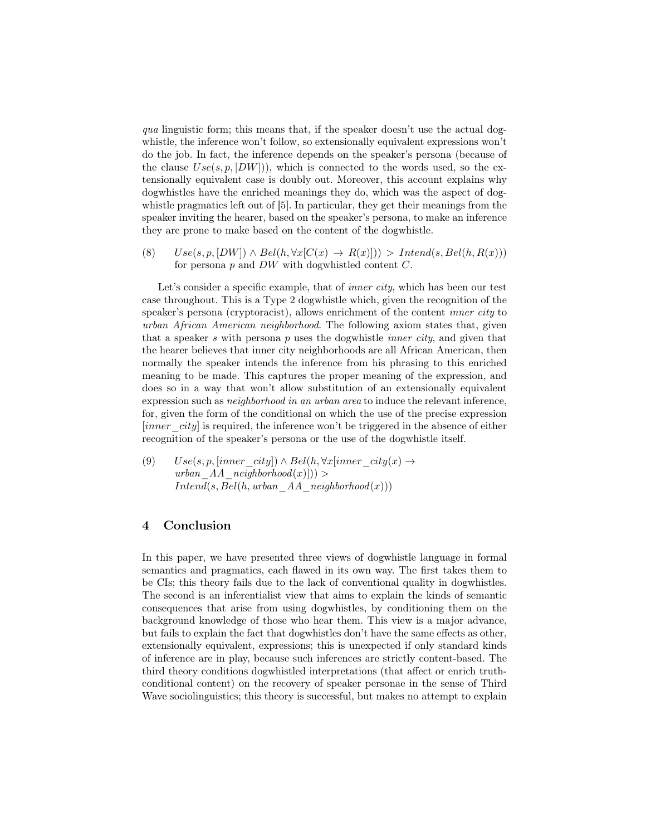qua linguistic form; this means that, if the speaker doesn't use the actual dogwhistle, the inference won't follow, so extensionally equivalent expressions won't do the job. In fact, the inference depends on the speaker's persona (because of the clause  $Use(s, p, [DW])$ , which is connected to the words used, so the extensionally equivalent case is doubly out. Moreover, this account explains why dogwhistles have the enriched meanings they do, which was the aspect of dogwhistle pragmatics left out of [5]. In particular, they get their meanings from the speaker inviting the hearer, based on the speaker's persona, to make an inference they are prone to make based on the content of the dogwhistle.

(8)  $Use(s, p, [DW]) \wedge Bel(h, \forall x [C(x) \rightarrow R(x)]) > Internal(s, Bel(h, R(x)))$ for persona  $p$  and  $DW$  with dogwhistled content  $C$ .

Let's consider a specific example, that of *inner city*, which has been our test case throughout. This is a Type 2 dogwhistle which, given the recognition of the speaker's persona (cryptoracist), allows enrichment of the content inner city to urban African American neighborhood. The following axiom states that, given that a speaker s with persona p uses the dogwhistle *inner city*, and given that the hearer believes that inner city neighborhoods are all African American, then normally the speaker intends the inference from his phrasing to this enriched meaning to be made. This captures the proper meaning of the expression, and does so in a way that won't allow substitution of an extensionally equivalent expression such as neighborhood in an urban area to induce the relevant inference, for, given the form of the conditional on which the use of the precise expression [*inner* city] is required, the inference won't be triggered in the absence of either recognition of the speaker's persona or the use of the dogwhistle itself.

(9)  $Use(s, p, [inner-city]) \wedge Bel(h, \forall x [inner-city(x) \rightarrow$ urban  $AA$  neighborhood $(x)|)$ ) >  $Internal(s, Bel(h, urbanAA-neighborhood(x)))$ 

# 4 Conclusion

In this paper, we have presented three views of dogwhistle language in formal semantics and pragmatics, each flawed in its own way. The first takes them to be CIs; this theory fails due to the lack of conventional quality in dogwhistles. The second is an inferentialist view that aims to explain the kinds of semantic consequences that arise from using dogwhistles, by conditioning them on the background knowledge of those who hear them. This view is a major advance, but fails to explain the fact that dogwhistles don't have the same effects as other, extensionally equivalent, expressions; this is unexpected if only standard kinds of inference are in play, because such inferences are strictly content-based. The third theory conditions dogwhistled interpretations (that affect or enrich truthconditional content) on the recovery of speaker personae in the sense of Third Wave sociolinguistics; this theory is successful, but makes no attempt to explain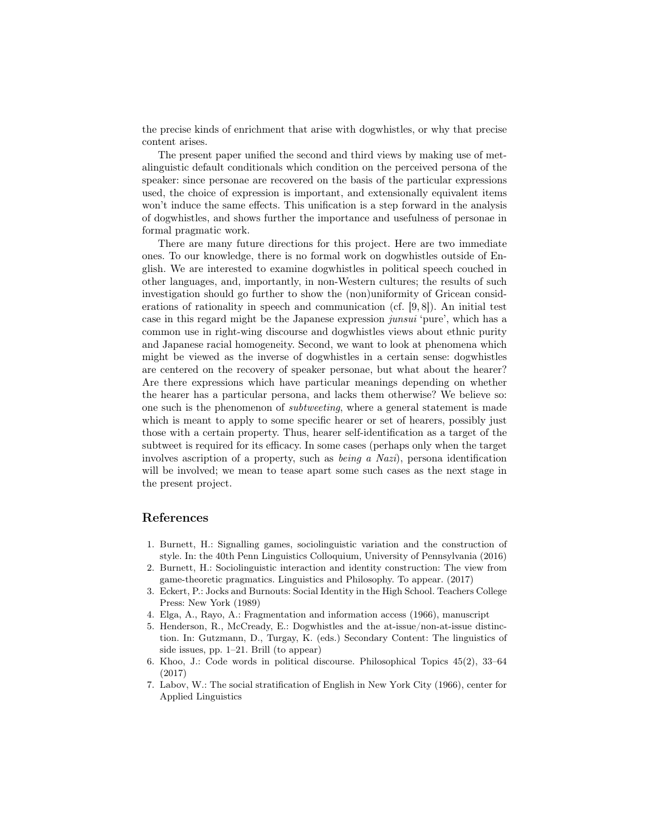the precise kinds of enrichment that arise with dogwhistles, or why that precise content arises.

The present paper unified the second and third views by making use of metalinguistic default conditionals which condition on the perceived persona of the speaker: since personae are recovered on the basis of the particular expressions used, the choice of expression is important, and extensionally equivalent items won't induce the same effects. This unification is a step forward in the analysis of dogwhistles, and shows further the importance and usefulness of personae in formal pragmatic work.

There are many future directions for this project. Here are two immediate ones. To our knowledge, there is no formal work on dogwhistles outside of English. We are interested to examine dogwhistles in political speech couched in other languages, and, importantly, in non-Western cultures; the results of such investigation should go further to show the (non)uniformity of Gricean considerations of rationality in speech and communication (cf. [9, 8]). An initial test case in this regard might be the Japanese expression junsui 'pure', which has a common use in right-wing discourse and dogwhistles views about ethnic purity and Japanese racial homogeneity. Second, we want to look at phenomena which might be viewed as the inverse of dogwhistles in a certain sense: dogwhistles are centered on the recovery of speaker personae, but what about the hearer? Are there expressions which have particular meanings depending on whether the hearer has a particular persona, and lacks them otherwise? We believe so: one such is the phenomenon of subtweeting, where a general statement is made which is meant to apply to some specific hearer or set of hearers, possibly just those with a certain property. Thus, hearer self-identification as a target of the subtweet is required for its efficacy. In some cases (perhaps only when the target involves ascription of a property, such as being a Nazi), persona identification will be involved; we mean to tease apart some such cases as the next stage in the present project.

### References

- 1. Burnett, H.: Signalling games, sociolinguistic variation and the construction of style. In: the 40th Penn Linguistics Colloquium, University of Pennsylvania (2016)
- 2. Burnett, H.: Sociolinguistic interaction and identity construction: The view from game-theoretic pragmatics. Linguistics and Philosophy. To appear. (2017)
- 3. Eckert, P.: Jocks and Burnouts: Social Identity in the High School. Teachers College Press: New York (1989)
- 4. Elga, A., Rayo, A.: Fragmentation and information access (1966), manuscript
- 5. Henderson, R., McCready, E.: Dogwhistles and the at-issue/non-at-issue distinction. In: Gutzmann, D., Turgay, K. (eds.) Secondary Content: The linguistics of side issues, pp. 1–21. Brill (to appear)
- 6. Khoo, J.: Code words in political discourse. Philosophical Topics 45(2), 33–64 (2017)
- 7. Labov, W.: The social stratification of English in New York City (1966), center for Applied Linguistics